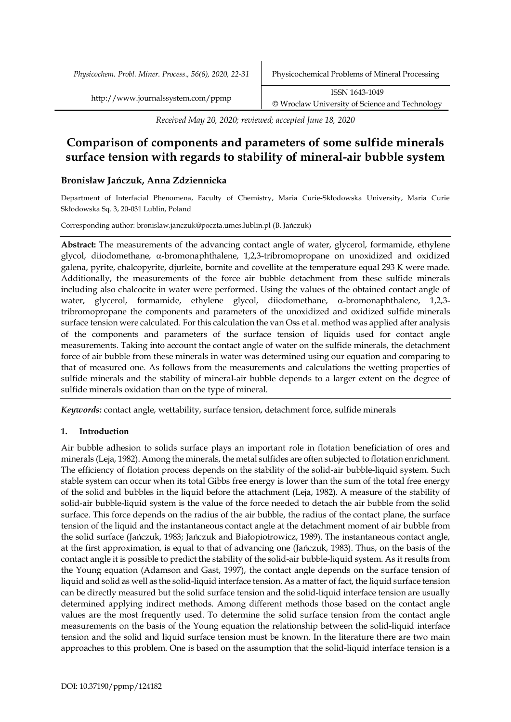*Received May 20, 2020; reviewed; accepted June 18, 2020*

# **Comparison of components and parameters of some sulfide minerals surface tension with regards to stability of mineral-air bubble system**

# **Bronisław Jańczuk, Anna Zdziennicka**

Department of Interfacial Phenomena, Faculty of Chemistry, Maria Curie-Skłodowska University, Maria Curie Skłodowska Sq. 3, 20-031 Lublin, Poland

Corresponding author: bronislaw.janczuk@poczta.umcs.lublin.pl (B. Jańczuk)

**Abstract:** The measurements of the advancing contact angle of water, glycerol, formamide, ethylene glycol, diiodomethane, a-bromonaphthalene, 1,2,3-tribromopropane on unoxidized and oxidized galena, pyrite, chalcopyrite, djurleite, bornite and covellite at the temperature equal 293 K were made. Additionally, the measurements of the force air bubble detachment from these sulfide minerals including also chalcocite in water were performed. Using the values of the obtained contact angle of water, glycerol, formamide, ethylene glycol, diiodomethane,  $\alpha$ -bromonaphthalene, 1,2,3tribromopropane the components and parameters of the unoxidized and oxidized sulfide minerals surface tension were calculated. For this calculation the van Oss et al. method was applied after analysis of the components and parameters of the surface tension of liquids used for contact angle measurements. Taking into account the contact angle of water on the sulfide minerals, the detachment force of air bubble from these minerals in water was determined using our equation and comparing to that of measured one. As follows from the measurements and calculations the wetting properties of sulfide minerals and the stability of mineral-air bubble depends to a larger extent on the degree of sulfide minerals oxidation than on the type of mineral.

*Keywords:* contact angle, wettability, surface tension, detachment force, sulfide minerals

## **1. Introduction**

Air bubble adhesion to solids surface plays an important role in flotation beneficiation of ores and minerals (Leja, 1982). Among the minerals, the metal sulfides are often subjected to flotation enrichment. The efficiency of flotation process depends on the stability of the solid-air bubble-liquid system. Such stable system can occur when its total Gibbs free energy is lower than the sum of the total free energy of the solid and bubbles in the liquid before the attachment (Leja, 1982). A measure of the stability of solid-air bubble-liquid system is the value of the force needed to detach the air bubble from the solid surface. This force depends on the radius of the air bubble, the radius of the contact plane, the surface tension of the liquid and the instantaneous contact angle at the detachment moment of air bubble from the solid surface (Jańczuk, 1983; Jańczuk and Białopiotrowicz, 1989). The instantaneous contact angle, at the first approximation, is equal to that of advancing one (Jańczuk, 1983). Thus, on the basis of the contact angle it is possible to predict the stability of the solid-air bubble-liquid system. As it results from the Young equation (Adamson and Gast, 1997), the contact angle depends on the surface tension of liquid and solid as well as the solid-liquid interface tension. As a matter of fact, the liquid surface tension can be directly measured but the solid surface tension and the solid-liquid interface tension are usually determined applying indirect methods. Among different methods those based on the contact angle values are the most frequently used. To determine the solid surface tension from the contact angle measurements on the basis of the Young equation the relationship between the solid-liquid interface tension and the solid and liquid surface tension must be known. In the literature there are two main approaches to this problem. One is based on the assumption that the solid-liquid interface tension is a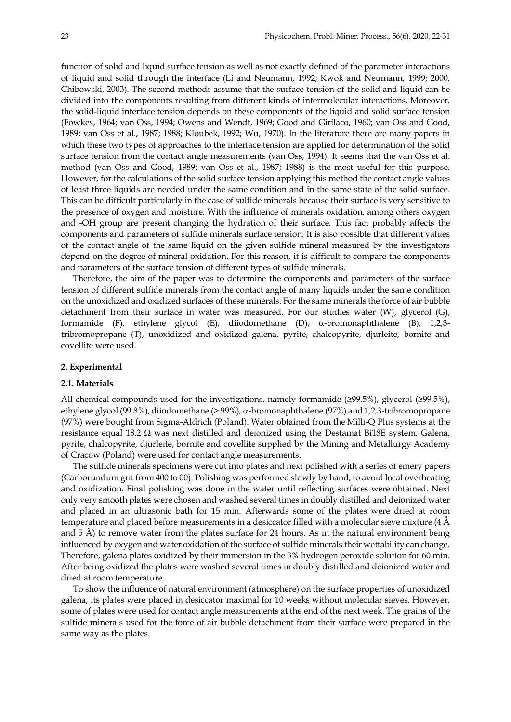function of solid and liquid surface tension as well as not exactly defined of the parameter interactions of liquid and solid through the interface (Li and Neumann, 1992; Kwok and Neumann, 1999; 2000, Chibowski, 2003). The second methods assume that the surface tension of the solid and liquid can be divided into the components resulting from different kinds of intermolecular interactions. Moreover, the solid-liquid interface tension depends on these components of the liquid and solid surface tension (Fowkes, 1964; van Oss, 1994; Owens and Wendt, 1969; Good and Girilaco, 1960; van Oss and Good, 1989; van Oss et al., 1987; 1988; Kloubek, 1992; Wu, 1970). In the literature there are many papers in which these two types of approaches to the interface tension are applied for determination of the solid surface tension from the contact angle measurements (van Oss, 1994). It seems that the van Oss et al. method (van Oss and Good, 1989; van Oss et al., 1987; 1988) is the most useful for this purpose. However, for the calculations of the solid surface tension applying this method the contact angle values of least three liquids are needed under the same condition and in the same state of the solid surface. This can be difficult particularly in the case of sulfide minerals because their surface is very sensitive to the presence of oxygen and moisture. With the influence of minerals oxidation, among others oxygen and -OH group are present changing the hydration of their surface. This fact probably affects the components and parameters of sulfide minerals surface tension. It is also possible that different values of the contact angle of the same liquid on the given sulfide mineral measured by the investigators depend on the degree of mineral oxidation. For this reason, it is difficult to compare the components and parameters of the surface tension of different types of sulfide minerals.

Therefore, the aim of the paper was to determine the components and parameters of the surface tension of different sulfide minerals from the contact angle of many liquids under the same condition on the unoxidized and oxidized surfaces of these minerals. For the same minerals the force of air bubble detachment from their surface in water was measured. For our studies water (W), glycerol (G), formamide (F), ethylene glycol (E), diiodomethane (D), a-bromonaphthalene (B), 1,2,3 tribromopropane (T), unoxidized and oxidized galena, pyrite, chalcopyrite, djurleite, bornite and covellite were used.

#### **2. Experimental**

#### **2.1. Materials**

All chemical compounds used for the investigations, namely formamide (≥99.5%), glycerol (≥99.5%), ethylene glycol (99.8%), diiodomethane (> 99%), a-bromonaphthalene (97%) and 1,2,3-tribromopropane (97%) were bought from Sigma-Aldrich (Poland). Water obtained from the Milli-Q Plus systems at the resistance equal 18.2  $\Omega$  was next distilled and deionized using the Destamat Bi18E system. Galena, pyrite, chalcopyrite, djurleite, bornite and covellite supplied by the Mining and Metallurgy Academy of Cracow (Poland) were used for contact angle measurements.

The sulfide minerals specimens were cut into plates and next polished with a series of emery papers (Carborundum grit from 400 to 00). Polishing was performed slowly by hand, to avoid local overheating and oxidization. Final polishing was done in the water until reflecting surfaces were obtained. Next only very smooth plates were chosen and washed several times in doubly distilled and deionized water and placed in an ultrasonic bath for 15 min. Afterwards some of the plates were dried at room temperature and placed before measurements in a desiccator filled with a molecular sieve mixture (4 Å and 5 Å) to remove water from the plates surface for 24 hours. As in the natural environment being influenced by oxygen and water oxidation of the surface of sulfide minerals their wettability can change. Therefore, galena plates oxidized by their immersion in the 3% hydrogen peroxide solution for 60 min. After being oxidized the plates were washed several times in doubly distilled and deionized water and dried at room temperature.

To show the influence of natural environment (atmosphere) on the surface properties of unoxidized galena, its plates were placed in desiccator maximal for 10 weeks without molecular sieves. However, some of plates were used for contact angle measurements at the end of the next week. The grains of the sulfide minerals used for the force of air bubble detachment from their surface were prepared in the same way as the plates.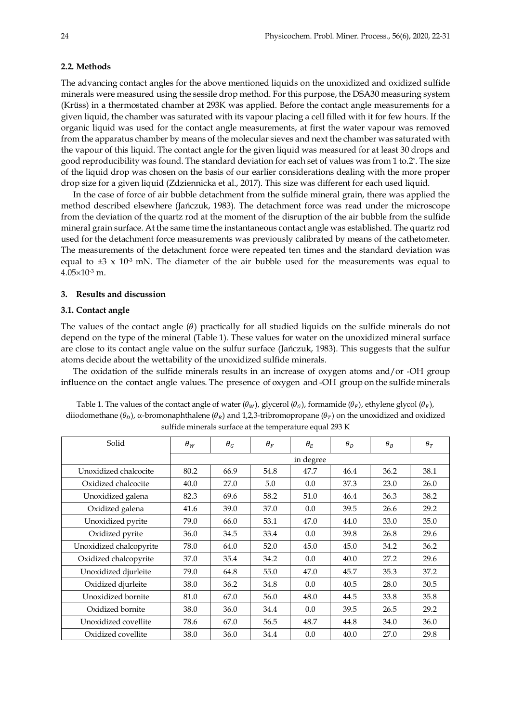#### **2.2. Methods**

The advancing contact angles for the above mentioned liquids on the unoxidized and oxidized sulfide minerals were measured using the sessile drop method. For this purpose, the DSA30 measuring system (Krüss) in a thermostated chamber at 293K was applied. Before the contact angle measurements for a given liquid, the chamber was saturated with its vapour placing a cell filled with it for few hours. If the organic liquid was used for the contact angle measurements, at first the water vapour was removed from the apparatus chamber by means of the molecular sieves and next the chamber was saturated with the vapour of this liquid. The contact angle for the given liquid was measured for at least 30 drops and good reproducibility was found. The standard deviation for each set of values was from 1 to.2° . The size of the liquid drop was chosen on the basis of our earlier considerations dealing with the more proper drop size for a given liquid (Zdziennicka et al., 2017). This size was different for each used liquid.

In the case of force of air bubble detachment from the sulfide mineral grain, there was applied the method described elsewhere (Jańczuk, 1983). The detachment force was read under the microscope from the deviation of the quartz rod at the moment of the disruption of the air bubble from the sulfide mineral grain surface. At the same time the instantaneous contact angle was established. The quartz rod used for the detachment force measurements was previously calibrated by means of the cathetometer. The measurements of the detachment force were repeated ten times and the standard deviation was equal to  $\pm 3 \times 10^3$  mN. The diameter of the air bubble used for the measurements was equal to  $4.05 \times 10^{-3}$  m.

#### **3. Results and discussion**

#### **3.1. Contact angle**

The values of the contact angle  $(\theta)$  practically for all studied liquids on the sulfide minerals do not depend on the type of the mineral (Table 1). These values for water on the unoxidized mineral surface are close to its contact angle value on the sulfur surface (Jańczuk, 1983). This suggests that the sulfur atoms decide about the wettability of the unoxidized sulfide minerals.

The oxidation of the sulfide minerals results in an increase of oxygen atoms and/or -OH group influence on the contact angle values. The presence of oxygen and -OH group on the sulfide minerals

| Table 1. The values of the contact angle of water $(\theta_w)$ , glycerol $(\theta_G)$ , formamide $(\theta_F)$ , ethylene glycol $(\theta_F)$ , |
|--------------------------------------------------------------------------------------------------------------------------------------------------|
| diiodomethane (θ <sub>n</sub> ), α-bromonaphthalene (θ <sub>R</sub> ) and 1,2,3-tribromopropane (θ <sub>π</sub> ) on the unoxidized and oxidized |
| sulfide minerals surface at the temperature equal 293 K                                                                                          |

| Solid                   | $\theta_W$ | $\theta_G$ | $\theta_F$ | $\theta_E$ | $\theta_D$ | $\theta_B$ | $\theta_T$ |
|-------------------------|------------|------------|------------|------------|------------|------------|------------|
|                         |            |            |            | in degree  |            |            |            |
| Unoxidized chalcocite   | 80.2       | 66.9       | 54.8       | 47.7       | 46.4       | 36.2       | 38.1       |
| Oxidized chalcocite     | 40.0       | 27.0       | 5.0        | 0.0        | 37.3       | 23.0       | 26.0       |
| Unoxidized galena       | 82.3       | 69.6       | 58.2       | 51.0       | 46.4       | 36.3       | 38.2       |
| Oxidized galena         | 41.6       | 39.0       | 37.0       | 0.0        | 39.5       | 26.6       | 29.2       |
| Unoxidized pyrite       | 79.0       | 66.0       | 53.1       | 47.0       | 44.0       | 33.0       | 35.0       |
| Oxidized pyrite         | 36.0       | 34.5       | 33.4       | 0.0        | 39.8       | 26.8       | 29.6       |
| Unoxidized chalcopyrite | 78.0       | 64.0       | 52.0       | 45.0       | 45.0       | 34.2       | 36.2       |
| Oxidized chalcopyrite   | 37.0       | 35.4       | 34.2       | 0.0        | 40.0       | 27.2       | 29.6       |
| Unoxidized djurleite    | 79.0       | 64.8       | 55.0       | 47.0       | 45.7       | 35.3       | 37.2       |
| Oxidized djurleite      | 38.0       | 36.2       | 34.8       | 0.0        | 40.5       | 28.0       | 30.5       |
| Unoxidized bornite      | 81.0       | 67.0       | 56.0       | 48.0       | 44.5       | 33.8       | 35.8       |
| Oxidized bornite        | 38.0       | 36.0       | 34.4       | 0.0        | 39.5       | 26.5       | 29.2       |
| Unoxidized covellite    | 78.6       | 67.0       | 56.5       | 48.7       | 44.8       | 34.0       | 36.0       |
| Oxidized covellite      | 38.0       | 36.0       | 34.4       | 0.0        | 40.0       | 27.0       | 29.8       |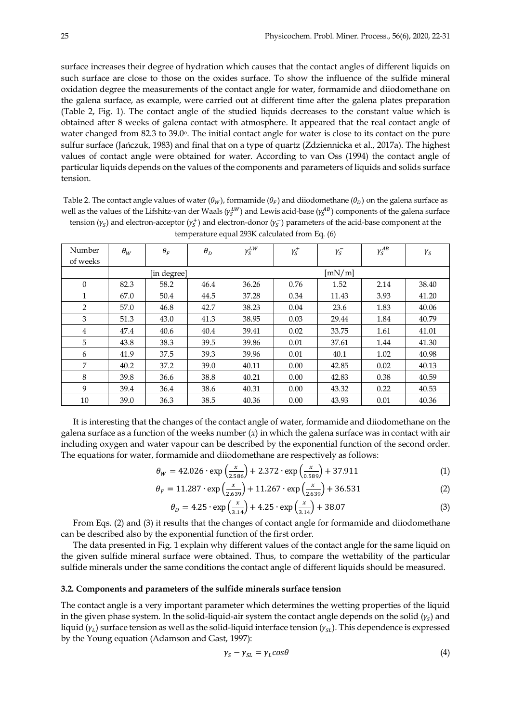surface increases their degree of hydration which causes that the contact angles of different liquids on such surface are close to those on the oxides surface. To show the influence of the sulfide mineral oxidation degree the measurements of the contact angle for water, formamide and diiodomethane on the galena surface, as example, were carried out at different time after the galena plates preparation (Table 2, Fig. 1). The contact angle of the studied liquids decreases to the constant value which is obtained after 8 weeks of galena contact with atmosphere. It appeared that the real contact angle of water changed from 82.3 to 39.0°. The initial contact angle for water is close to its contact on the pure sulfur surface (Jańczuk, 1983) and final that on a type of quartz (Zdziennicka et al., 2017a). The highest values of contact angle were obtained for water. According to van Oss (1994) the contact angle of particular liquids depends on the values of the components and parameters of liquids and solids surface tension.

Table 2. The contact angle values of water  $(\theta_W)$ , formamide  $(\theta_F)$  and diiodomethane  $(\theta_D)$  on the galena surface as well as the values of the Lifshitz-van der Waals ( $\gamma_s^{LW}$ ) and Lewis acid-base ( $\gamma_s^{AB}$ ) components of the galena surface tension  $(y_s)$  and electron-acceptor  $(y_s^+)$  and electron-donor  $(y_s^-)$  parameters of the acid-base component at the

| Number<br>of weeks | $\theta_W$ | $\theta_F$  | $\theta_D$ | $\gamma_S^{LW}$ | $\gamma^+_S$ | $\gamma_{S}^{-}$ | $\gamma_S^{AB}$ | $\gamma_{S}$ |
|--------------------|------------|-------------|------------|-----------------|--------------|------------------|-----------------|--------------|
|                    |            | [in degree] |            |                 |              | [mN/m]           |                 |              |
| $\Omega$           | 82.3       | 58.2        | 46.4       | 36.26           | 0.76         | 1.52             | 2.14            | 38.40        |
| 1                  | 67.0       | 50.4        | 44.5       | 37.28           | 0.34         | 11.43            | 3.93            | 41.20        |
| $\overline{2}$     | 57.0       | 46.8        | 42.7       | 38.23           | 0.04         | 23.6             | 1.83            | 40.06        |
| 3                  | 51.3       | 43.0        | 41.3       | 38.95           | 0.03         | 29.44            | 1.84            | 40.79        |
| $\overline{4}$     | 47.4       | 40.6        | 40.4       | 39.41           | 0.02         | 33.75            | 1.61            | 41.01        |
| 5                  | 43.8       | 38.3        | 39.5       | 39.86           | 0.01         | 37.61            | 1.44            | 41.30        |
| 6                  | 41.9       | 37.5        | 39.3       | 39.96           | 0.01         | 40.1             | 1.02            | 40.98        |
| 7                  | 40.2       | 37.2        | 39.0       | 40.11           | 0.00         | 42.85            | 0.02            | 40.13        |
| 8                  | 39.8       | 36.6        | 38.8       | 40.21           | 0.00         | 42.83            | 0.38            | 40.59        |
| 9                  | 39.4       | 36.4        | 38.6       | 40.31           | 0.00         | 43.32            | 0.22            | 40.53        |
| 10                 | 39.0       | 36.3        | 38.5       | 40.36           | 0.00         | 43.93            | 0.01            | 40.36        |

| temperature equal 293K calculated from Eq. (6) |  |  |
|------------------------------------------------|--|--|

It is interesting that the changes of the contact angle of water, formamide and diiodomethane on the galena surface as a function of the weeks number (*x*) in which the galena surface was in contact with air including oxygen and water vapour can be described by the exponential function of the second order. The equations for water, formamide and diiodomethane are respectively as follows:

$$
\theta_W = 42.026 \cdot \exp\left(\frac{x}{2.586}\right) + 2.372 \cdot \exp\left(\frac{x}{0.589}\right) + 37.911\tag{1}
$$

$$
\theta_F = 11.287 \cdot \exp\left(\frac{x}{2.639}\right) + 11.267 \cdot \exp\left(\frac{x}{2.639}\right) + 36.531\tag{2}
$$

$$
\theta_D = 4.25 \cdot \exp\left(\frac{x}{3.14}\right) + 4.25 \cdot \exp\left(\frac{x}{3.14}\right) + 38.07\tag{3}
$$

From Eqs. (2) and (3) it results that the changes of contact angle for formamide and diiodomethane can be described also by the exponential function of the first order.

The data presented in Fig. 1 explain why different values of the contact angle for the same liquid on the given sulfide mineral surface were obtained. Thus, to compare the wettability of the particular sulfide minerals under the same conditions the contact angle of different liquids should be measured.

#### **3.2. Components and parameters of the sulfide minerals surface tension**

The contact angle is a very important parameter which determines the wetting properties of the liquid in the given phase system. In the solid-liquid-air system the contact angle depends on the solid  $(y_s)$  and liquid ( $y_t$ ) surface tension as well as the solid-liquid interface tension ( $y_{st}$ ). This dependence is expressed by the Young equation (Adamson and Gast, 1997):

$$
\gamma_S - \gamma_{SL} = \gamma_L \cos \theta \tag{4}
$$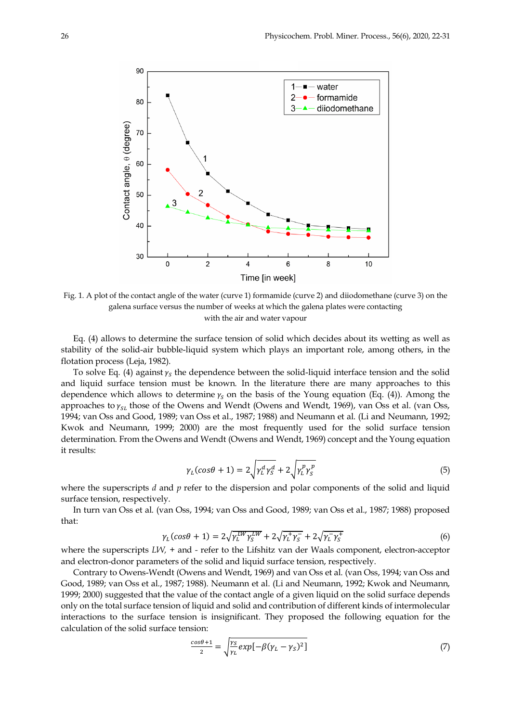

Fig. 1. A plot of the contact angle of the water (curve 1) formamide (curve 2) and diiodomethane (curve 3) on the galena surface versus the number of weeks at which the galena plates were contacting with the air and water vapour

Eq. (4) allows to determine the surface tension of solid which decides about its wetting as well as stability of the solid-air bubble-liquid system which plays an important role, among others, in the flotation process (Leja, 1982).

To solve Eq. (4) against  $\gamma_s$  the dependence between the solid-liquid interface tension and the solid and liquid surface tension must be known. In the literature there are many approaches to this dependence which allows to determine  $\gamma_s$  on the basis of the Young equation (Eq. (4)). Among the approaches to  $\gamma_{SL}$  those of the Owens and Wendt (Owens and Wendt, 1969), van Oss et al. (van Oss, 1994; van Oss and Good, 1989; van Oss et al., 1987; 1988) and Neumann et al. (Li and Neumann, 1992; Kwok and Neumann, 1999; 2000) are the most frequently used for the solid surface tension determination. From the Owens and Wendt (Owens and Wendt, 1969) concept and the Young equation it results:

$$
\gamma_L(\cos\theta + 1) = 2\sqrt{\gamma_L^a \gamma_S^a} + 2\sqrt{\gamma_L^p \gamma_S^p}
$$
\n(5)

where the superscripts *d* and *p* refer to the dispersion and polar components of the solid and liquid surface tension, respectively.

In turn van Oss et al. (van Oss, 1994; van Oss and Good, 1989; van Oss et al., 1987; 1988) proposed that:

$$
\gamma_L(\cos\theta + 1) = 2\sqrt{\gamma_L^{LW}\gamma_S^{LW}} + 2\sqrt{\gamma_L^{+}\gamma_S^{-}} + 2\sqrt{\gamma_L^{-}\gamma_S^{+}} \tag{6}
$$

where the superscripts *LW, +* and *-* refer to the Lifshitz van der Waals component, electron-acceptor and electron-donor parameters of the solid and liquid surface tension, respectively.

Contrary to Owens-Wendt (Owens and Wendt, 1969) and van Oss et al. (van Oss, 1994; van Oss and Good, 1989; van Oss et al., 1987; 1988). Neumann et al. (Li and Neumann, 1992; Kwok and Neumann, 1999; 2000) suggested that the value of the contact angle of a given liquid on the solid surface depends only on the total surface tension of liquid and solid and contribution of different kinds of intermolecular interactions to the surface tension is insignificant. They proposed the following equation for the calculation of the solid surface tension:

$$
\frac{\cos\theta + 1}{2} = \sqrt{\frac{\gamma_S}{\gamma_L} \exp[-\beta(\gamma_L - \gamma_S)^2]}
$$
(7)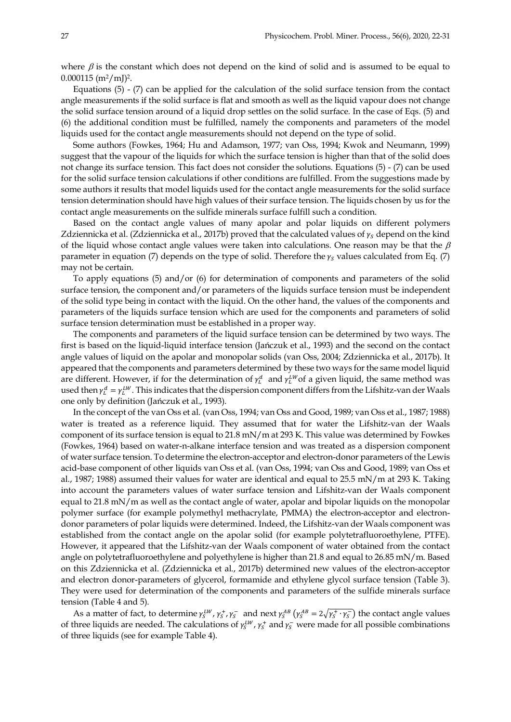where  $\beta$  is the constant which does not depend on the kind of solid and is assumed to be equal to  $0.000115$  (m<sup>2</sup>/mJ)<sup>2</sup>.

Equations (5) - (7) can be applied for the calculation of the solid surface tension from the contact angle measurements if the solid surface is flat and smooth as well as the liquid vapour does not change the solid surface tension around of a liquid drop settles on the solid surface. In the case of Eqs. (5) and (6) the additional condition must be fulfilled, namely the components and parameters of the model liquids used for the contact angle measurements should not depend on the type of solid.

Some authors (Fowkes, 1964; Hu and Adamson, 1977; van Oss, 1994; Kwok and Neumann, 1999) suggest that the vapour of the liquids for which the surface tension is higher than that of the solid does not change its surface tension. This fact does not consider the solutions. Equations (5) - (7) can be used for the solid surface tension calculations if other conditions are fulfilled. From the suggestions made by some authors it results that model liquids used for the contact angle measurements for the solid surface tension determination should have high values of their surface tension. The liquids chosen by us for the contact angle measurements on the sulfide minerals surface fulfill such a condition.

Based on the contact angle values of many apolar and polar liquids on different polymers Zdziennicka et al. (Zdziennicka et al., 2017b) proved that the calculated values of  $\gamma_s$  depend on the kind of the liquid whose contact angle values were taken into calculations. One reason may be that the  $\beta$ parameter in equation (7) depends on the type of solid. Therefore the  $\gamma_s$  values calculated from Eq. (7) may not be certain.

To apply equations (5) and/or (6) for determination of components and parameters of the solid surface tension, the component and/or parameters of the liquids surface tension must be independent of the solid type being in contact with the liquid. On the other hand, the values of the components and parameters of the liquids surface tension which are used for the components and parameters of solid surface tension determination must be established in a proper way.

The components and parameters of the liquid surface tension can be determined by two ways. The first is based on the liquid-liquid interface tension (Jańczuk et al., 1993) and the second on the contact angle values of liquid on the apolar and monopolar solids (van Oss, 2004; Zdziennicka et al., 2017b). It appeared that the components and parameters determined by these two ways for the same model liquid are different. However, if for the determination of  $\gamma_L^d$  and  $\gamma_L^{LW}$ of a given liquid, the same method was used then  $\gamma_L^d = \gamma_L^{LW}$ . This indicates that the dispersion component differs from the Lifshitz-van der Waals one only by definition (Jańczuk et al., 1993).

In the concept of the van Oss et al. (van Oss, 1994; van Oss and Good, 1989; van Oss et al., 1987; 1988) water is treated as a reference liquid. They assumed that for water the Lifshitz-van der Waals component of its surface tension is equal to 21.8 mN/m at 293 K. This value was determined by Fowkes (Fowkes, 1964) based on water-n-alkane interface tension and was treated as a dispersion component of water surface tension. To determine the electron-acceptor and electron-donor parameters of the Lewis acid-base component of other liquids van Oss et al. (van Oss, 1994; van Oss and Good, 1989; van Oss et al., 1987; 1988) assumed their values for water are identical and equal to 25.5 mN/m at 293 K. Taking into account the parameters values of water surface tension and Lifshitz-van der Waals component equal to 21.8 mN/m as well as the contact angle of water, apolar and bipolar liquids on the monopolar polymer surface (for example polymethyl methacrylate, PMMA) the electron-acceptor and electrondonor parameters of polar liquids were determined. Indeed, the Lifshitz-van der Waals component was established from the contact angle on the apolar solid (for example polytetrafluoroethylene, PTFE). However, it appeared that the Lifshitz-van der Waals component of water obtained from the contact angle on polytetrafluoroethylene and polyethylene is higher than 21.8 and equal to 26.85 mN/m. Based on this Zdziennicka et al. (Zdziennicka et al., 2017b) determined new values of the electron-acceptor and electron donor-parameters of glycerol, formamide and ethylene glycol surface tension (Table 3). They were used for determination of the components and parameters of the sulfide minerals surface tension (Table 4 and 5).

As a matter of fact, to determine  $\gamma_s^L w$ ,  $\gamma_s^+$ ,  $\gamma_s^-$  and next  $\gamma_s^A$  ( $\gamma_s^A = 2\sqrt{\gamma_s^+ \cdot \gamma_s^-}$ ) the contact angle values of three liquids are needed. The calculations of  $\gamma_S^L w$ ,  $\gamma_S^+$  and  $\gamma_S^-$  were made for all possible combinations of three liquids (see for example Table 4).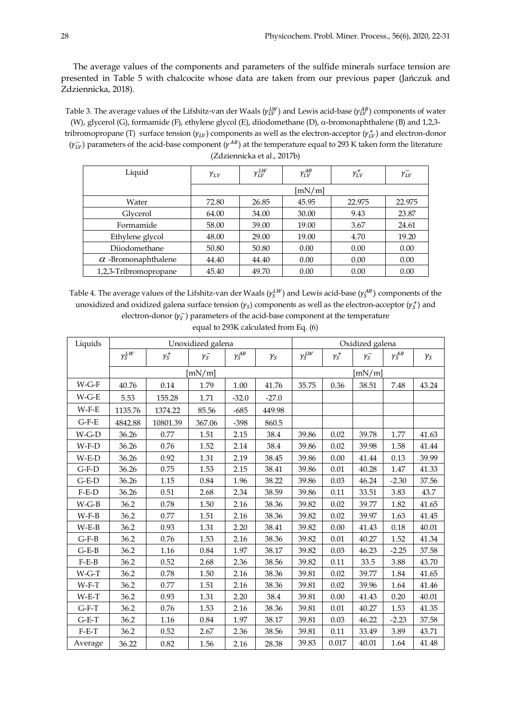The average values of the components and parameters of the sulfide minerals surface tension are presented in Table 5 with chalcocite whose data are taken from our previous paper (Jańczuk and Zdziennicka, 2018).

Table 3. The average values of the Lifshitz-van der Waals ( $\gamma_{LV}^{LW}$ ) and Lewis acid-base ( $\gamma_{LV}^{AB}$ ) components of water (W), glycerol (G), formamide (F), ethylene glycol (E), diiodomethane (D),  $\alpha$ -bromonaphthalene (B) and 1,2,3tribromopropane (T) surface tension ( $\gamma_{LV}$ ) components as well as the electron-acceptor ( $\gamma_{LV}^+$ ) and electron-donor  $(\gamma_{LV}^-)$  parameters of the acid-base component ( $\gamma^{AB}$ ) at the temperature equal to 293 K taken form the literature (Zdziennicka et al., 2017b)

| Liquid                     | $\gamma_{LV}$ | $\gamma_{LV}^{LW}$ | $\gamma_{LV}^{AB}$ | $\gamma_{LV}^{+}$ | $\gamma_{LV}^-$ |
|----------------------------|---------------|--------------------|--------------------|-------------------|-----------------|
|                            |               |                    | [m $N/m$ ]         |                   |                 |
| Water                      | 72.80         | 26.85              | 45.95              | 22.975            | 22.975          |
| Glycerol                   | 64.00         | 34.00              | 30.00              | 9.43              | 23.87           |
| Formamide                  | 58.00         | 39.00              | 19.00              | 3.67              | 24.61           |
| Ethylene glycol            | 48.00         | 29.00              | 19.00              | 4.70              | 19.20           |
| Diiodomethane              | 50.80         | 50.80              | 0.00               | 0.00              | 0.00            |
| $\alpha$ -Bromonaphthalene | 44.40         | 44.40              | 0.00               | 0.00              | 0.00            |
| 1,2,3-Tribromopropane      | 45.40         | 49.70              | 0.00               | 0.00              | 0.00            |

Table 4. The average values of the Lifshitz-van der Waals ( $\gamma_5^{LW}$ ) and Lewis acid-base ( $\gamma_5^{AB}$ ) components of the unoxidized and oxidized galena surface tension  $(y_s)$  components as well as the electron-acceptor  $(y_s^+)$  and electron-donor  $(y_5^-)$  parameters of the acid-base component at the temperature

|  |  | equal to 293K calculated from Eq. (6) |  |  |
|--|--|---------------------------------------|--|--|
|--|--|---------------------------------------|--|--|

| Liquids | Unoxidized galena |              |              |                 |              | Oxidized galena |                |                  |                 |            |
|---------|-------------------|--------------|--------------|-----------------|--------------|-----------------|----------------|------------------|-----------------|------------|
|         | $\gamma_S^{LW}$   | $\gamma^+_S$ | $\gamma^-_S$ | $\gamma_S^{AB}$ | $\gamma_{S}$ | $\gamma_S^{LW}$ | $\gamma^+_{S}$ | $\gamma_{S}^{-}$ | $\gamma_S^{AB}$ | $\gamma_S$ |
|         |                   |              | [mN/m]       |                 |              |                 |                | [mN/m]           |                 |            |
| $W-G-F$ | 40.76             | 0.14         | 1.79         | 1.00            | 41.76        | 35.75           | 0.36           | 38.51            | 7.48            | 43.24      |
| $W-G-E$ | 5.53              | 155.28       | 1.71         | $-32.0$         | $-27.0$      |                 |                |                  |                 |            |
| $W-F-E$ | 1135.76           | 1374.22      | 85.56        | $-685$          | 449.98       |                 |                |                  |                 |            |
| $G-F-E$ | 4842.88           | 10801.39     | 367.06       | $-398$          | 860.5        |                 |                |                  |                 |            |
| $W-G-D$ | 36.26             | 0.77         | 1.51         | 2.15            | 38.4         | 39.86           | 0.02           | 39.78            | 1.77            | 41.63      |
| $W-F-D$ | 36.26             | 0.76         | 1.52         | 2.14            | 38.4         | 39.86           | 0.02           | 39.98            | 1.58            | 41.44      |
| $W-E-D$ | 36.26             | 0.92         | 1.31         | 2.19            | 38.45        | 39.86           | 0.00           | 41.44            | 0.13            | 39.99      |
| $G-F-D$ | 36.26             | 0.75         | 1.53         | 2.15            | 38.41        | 39.86           | 0.01           | 40.28            | 1.47            | 41.33      |
| $G-E-D$ | 36.26             | 1.15         | 0.84         | 1.96            | 38.22        | 39.86           | 0.03           | 46.24            | $-2.30$         | 37.56      |
| $F-E-D$ | 36.26             | 0.51         | 2.68         | 2.34            | 38.59        | 39.86           | 0.11           | 33.51            | 3.83            | 43.7       |
| $W-G-B$ | 36.2              | 0.78         | 1.50         | 2.16            | 38.36        | 39.82           | 0.02           | 39.77            | 1.82            | 41.65      |
| $W-F-B$ | 36.2              | 0.77         | 1.51         | 2.16            | 38.36        | 39.82           | 0.02           | 39.97            | 1.63            | 41.45      |
| $W-E-B$ | 36.2              | 0.93         | 1.31         | 2.20            | 38.41        | 39.82           | 0.00           | 41.43            | 0.18            | 40.01      |
| $G-F-B$ | 36.2              | 0.76         | 1.53         | 2.16            | 38.36        | 39.82           | 0.01           | 40.27            | 1.52            | 41.34      |
| $G-E-B$ | 36.2              | 1.16         | 0.84         | 1.97            | 38.17        | 39.82           | 0.03           | 46.23            | $-2.25$         | 37.58      |
| $F-E-B$ | 36.2              | 0.52         | 2.68         | 2.36            | 38.56        | 39.82           | 0.11           | 33.5             | 3.88            | 43.70      |
| $W-G-T$ | 36.2              | 0.78         | 1.50         | 2.16            | 38.36        | 39.81           | 0.02           | 39.77            | 1.84            | 41.65      |
| $W-F-T$ | 36.2              | 0.77         | 1.51         | 2.16            | 38.36        | 39.81           | 0.02           | 39.96            | 1.64            | 41.46      |
| $W-E-T$ | 36.2              | 0.93         | 1.31         | 2.20            | 38.4         | 39.81           | 0.00           | 41.43            | 0.20            | 40.01      |
| $G-F-T$ | 36.2              | 0.76         | 1.53         | 2.16            | 38.36        | 39.81           | 0.01           | 40.27            | 1.53            | 41.35      |
| $G-E-T$ | 36.2              | 1.16         | 0.84         | 1.97            | 38.17        | 39.81           | 0.03           | 46.22            | $-2.23$         | 37.58      |
| $F-E-T$ | 36.2              | 0.52         | 2.67         | 2.36            | 38.56        | 39.81           | 0.11           | 33.49            | 3.89            | 43.71      |
| Average | 36.22             | 0.82         | 1.56         | 2.16            | 28.38        | 39.83           | 0.017          | 40.01            | 1.64            | 41.48      |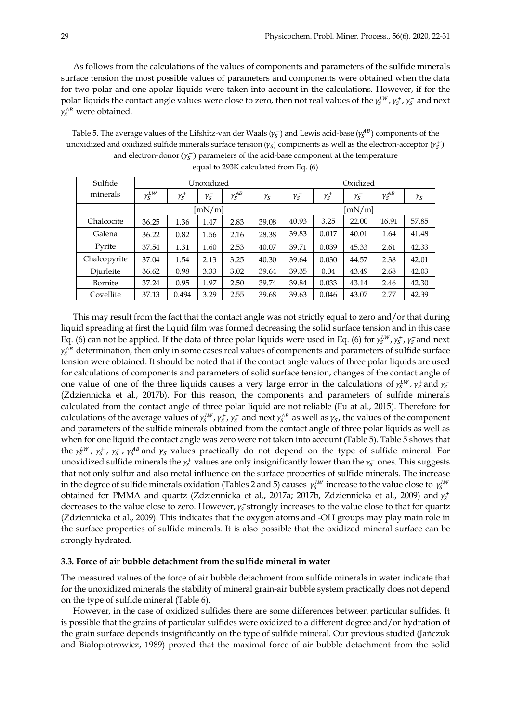As follows from the calculations of the values of components and parameters of the sulfide minerals surface tension the most possible values of parameters and components were obtained when the data for two polar and one apolar liquids were taken into account in the calculations. However, if for the polar liquids the contact angle values were close to zero, then not real values of the  $\gamma_5^{LW}$ ,  $\gamma_5^+$ ,  $\gamma_5^-$  and next  $\gamma_S^{AB}$  were obtained.

Table 5. The average values of the Lifshitz-van der Waals ( $\gamma_S^-$ ) and Lewis acid-base ( $\gamma_S^{AB}$ ) components of the unoxidized and oxidized sulfide minerals surface tension  $(y_s)$  components as well as the electron-acceptor  $(y_s^+)$ and electron-donor  $(\gamma_s^-)$  parameters of the acid-base component at the temperature

| Sulfide      | Unoxidized      |              |                  |                 | Oxidized   |                  |              |                  |                 |              |
|--------------|-----------------|--------------|------------------|-----------------|------------|------------------|--------------|------------------|-----------------|--------------|
| minerals     | $\gamma_S^{LW}$ | $\gamma^+_S$ | $\gamma_{S}^{-}$ | $\gamma_S^{AB}$ | $\gamma_S$ | $\gamma_{S}^{-}$ | $\gamma^+_S$ | $\gamma_{S}^{-}$ | $\gamma_S^{AB}$ | $\gamma_{S}$ |
|              |                 |              | [mN/m]           |                 |            | [mN/m]           |              |                  |                 |              |
| Chalcocite   | 36.25           | 1.36         | 1.47             | 2.83            | 39.08      | 40.93            | 3.25         | 22.00            | 16.91           | 57.85        |
| Galena       | 36.22           | 0.82         | 1.56             | 2.16            | 28.38      | 39.83            | 0.017        | 40.01            | 1.64            | 41.48        |
| Pyrite       | 37.54           | 1.31         | 1.60             | 2.53            | 40.07      | 39.71            | 0.039        | 45.33            | 2.61            | 42.33        |
| Chalcopyrite | 37.04           | 1.54         | 2.13             | 3.25            | 40.30      | 39.64            | 0.030        | 44.57            | 2.38            | 42.01        |
| Diurleite    | 36.62           | 0.98         | 3.33             | 3.02            | 39.64      | 39.35            | 0.04         | 43.49            | 2.68            | 42.03        |
| Bornite      | 37.24           | 0.95         | 1.97             | 2.50            | 39.74      | 39.84            | 0.033        | 43.14            | 2.46            | 42.30        |
| Covellite    | 37.13           | 0.494        | 3.29             | 2.55            | 39.68      | 39.63            | 0.046        | 43.07            | 2.77            | 42.39        |

|  |  |  | equal to 293K calculated from Eq. (6) |  |  |  |  |
|--|--|--|---------------------------------------|--|--|--|--|
|--|--|--|---------------------------------------|--|--|--|--|

This may result from the fact that the contact angle was not strictly equal to zero and/or that during liquid spreading at first the liquid film was formed decreasing the solid surface tension and in this case Eq. (6) can not be applied. If the data of three polar liquids were used in Eq. (6) for  $\gamma_5^{LW}$ ,  $\gamma_5^+$ ,  $\gamma_5^-$  and next  $\gamma_S^{AB}$  determination, then only in some cases real values of components and parameters of sulfide surface tension were obtained. It should be noted that if the contact angle values of three polar liquids are used for calculations of components and parameters of solid surface tension, changes of the contact angle of one value of one of the three liquids causes a very large error in the calculations of  $\gamma_S^{\mu\nu}$ ,  $\gamma_S^{\mu}$  and  $\gamma_S^-$ (Zdziennicka et al., 2017b). For this reason, the components and parameters of sulfide minerals calculated from the contact angle of three polar liquid are not reliable (Fu at al., 2015). Therefore for calculations of the average values of  $\gamma_s^L$ ,  $\gamma_s$ ,  $\gamma_s$  and next  $\gamma_s^A$  as well as  $\gamma_s$ , the values of the component and parameters of the sulfide minerals obtained from the contact angle of three polar liquids as well as when for one liquid the contact angle was zero were not taken into account (Table 5). Table 5 shows that the  $\gamma_S^{LW}$ ,  $\gamma_S^+$ ,  $\gamma_S^-$ ,  $\gamma_S^{AB}$  and  $\gamma_S$  values practically do not depend on the type of sulfide mineral. For unoxidized sulfide minerals the  $\gamma_s^+$  values are only insignificantly lower than the  $\gamma_s^-$  ones. This suggests that not only sulfur and also metal influence on the surface properties of sulfide minerals. The increase in the degree of sulfide minerals oxidation (Tables 2 and 5) causes  $\gamma_5^{LW}$  increase to the value close to  $\gamma_5^{LW}$ obtained for PMMA and quartz (Zdziennicka et al., 2017a; 2017b, Zdziennicka et al., 2009) and  $\gamma_{S}^{+}$ decreases to the value close to zero. However,  $\gamma_S^-$ strongly increases to the value close to that for quartz (Zdziennicka et al., 2009). This indicates that the oxygen atoms and -OH groups may play main role in the surface properties of sulfide minerals. It is also possible that the oxidized mineral surface can be strongly hydrated.

### **3.3. Force of air bubble detachment from the sulfide mineral in water**

The measured values of the force of air bubble detachment from sulfide minerals in water indicate that for the unoxidized minerals the stability of mineral grain-air bubble system practically does not depend on the type of sulfide mineral (Table 6).

However, in the case of oxidized sulfides there are some differences between particular sulfides. It is possible that the grains of particular sulfides were oxidized to a different degree and/or hydration of the grain surface depends insignificantly on the type of sulfide mineral. Our previous studied (Jańczuk and Białopiotrowicz, 1989) proved that the maximal force of air bubble detachment from the solid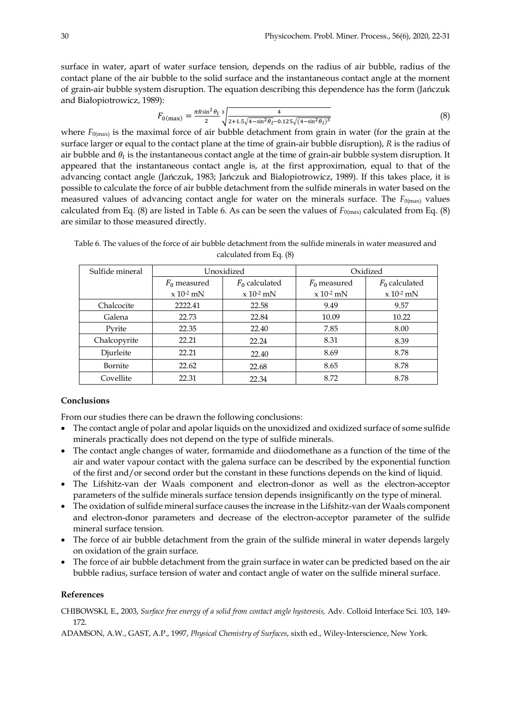surface in water, apart of water surface tension, depends on the radius of air bubble, radius of the contact plane of the air bubble to the solid surface and the instantaneous contact angle at the moment of grain-air bubble system disruption. The equation describing this dependence has the form (Jańczuk and Białopiotrowicz, 1989):

$$
F_{0(\text{max})} = \frac{\pi R \sin^2 \theta_l}{2} \sqrt[3]{\frac{4}{2 + 1.5\sqrt{4 - \sin^2 \theta_l} - 0.125\sqrt{(4 - \sin^2 \theta_l)^3}}}
$$
(8)

where  $F_{0(\text{max})}$  is the maximal force of air bubble detachment from grain in water (for the grain at the surface larger or equal to the contact plane at the time of grain-air bubble disruption), *R* is the radius of air bubble and  $\theta_i$  is the instantaneous contact angle at the time of grain-air bubble system disruption. It appeared that the instantaneous contact angle is, at the first approximation, equal to that of the advancing contact angle (Jańczuk, 1983; Jańczuk and Białopiotrowicz, 1989). If this takes place, it is possible to calculate the force of air bubble detachment from the sulfide minerals in water based on the measured values of advancing contact angle for water on the minerals surface. The  $F_{0(\text{max})}$  values calculated from Eq. (8) are listed in Table 6. As can be seen the values of  $F_{0(\text{max})}$  calculated from Eq. (8) are similar to those measured directly.

Table 6. The values of the force of air bubble detachment from the sulfide minerals in water measured and calculated from Eq. (8)

| Sulfide mineral |                | Unoxidized       |                | Oxidized         |  |  |  |  |
|-----------------|----------------|------------------|----------------|------------------|--|--|--|--|
|                 | $F_0$ measured | $F_0$ calculated | $F_0$ measured | $F_0$ calculated |  |  |  |  |
|                 | $x 10^{-2}$ mN | $x 10^{-2}$ mN   | $x 10^{-2}$ mN | $x 10^{-2}$ mN   |  |  |  |  |
| Chalcocite      | 2222.41        | 22.58            | 9.49           | 9.57             |  |  |  |  |
| Galena          | 22.73          | 22.84            | 10.09          | 10.22            |  |  |  |  |
| Pyrite          | 22.35          | 22.40            | 7.85           | 8.00             |  |  |  |  |
| Chalcopyrite    | 22.21          | 22.24            | 8.31           | 8.39             |  |  |  |  |
| Djurleite       | 22.21          | 22.40            | 8.69           | 8.78             |  |  |  |  |
| Bornite         | 22.62          | 22.68            | 8.65           | 8.78             |  |  |  |  |
| Covellite       | 22.31          | 22.34            | 8.72           | 8.78             |  |  |  |  |

## **Conclusions**

From our studies there can be drawn the following conclusions:

- The contact angle of polar and apolar liquids on the unoxidized and oxidized surface of some sulfide minerals practically does not depend on the type of sulfide minerals.
- The contact angle changes of water, formamide and diiodomethane as a function of the time of the air and water vapour contact with the galena surface can be described by the exponential function of the first and/or second order but the constant in these functions depends on the kind of liquid.
- The Lifshitz-van der Waals component and electron-donor as well as the electron-acceptor parameters of the sulfide minerals surface tension depends insignificantly on the type of mineral.
- The oxidation of sulfide mineral surface causes the increase in the Lifshitz-van der Waals component and electron-donor parameters and decrease of the electron-acceptor parameter of the sulfide mineral surface tension.
- The force of air bubble detachment from the grain of the sulfide mineral in water depends largely on oxidation of the grain surface.
- The force of air bubble detachment from the grain surface in water can be predicted based on the air bubble radius, surface tension of water and contact angle of water on the sulfide mineral surface.

#### **References**

CHIBOWSKI, E., 2003, *Surface free energy of a solid from contact angle hysteresis,* Adv. Colloid Interface Sci. 103, 149- 172.

ADAMSON, A.W., GAST, A.P., 1997, *Physical Chemistry of Surfaces*, sixth ed., Wiley-Interscience, New York.